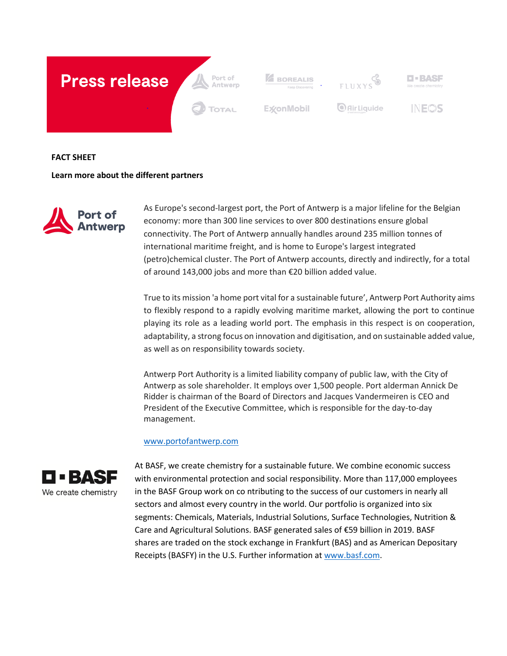

**FACT SHEET**

**Learn more about the different partners**



As Europe's second-largest port, the Port of Antwerp is a major lifeline for the Belgian economy: more than 300 line services to over 800 destinations ensure global connectivity. The Port of Antwerp annually handles around 235 million tonnes of international maritime freight, and is home to Europe's largest integrated (petro)chemical cluster. The Port of Antwerp accounts, directly and indirectly, for a total of around 143,000 jobs and more than €20 billion added value.

True to its mission 'a home port vital for a sustainable future', Antwerp Port Authority aims to flexibly respond to a rapidly evolving maritime market, allowing the port to continue playing its role as a leading world port. The emphasis in this respect is on cooperation, adaptability, a strong focus on innovation and digitisation, and on sustainable added value, as well as on responsibility towards society.

Antwerp Port Authority is a limited liability company of public law, with the City of Antwerp as sole shareholder. It employs over 1,500 people. Port alderman Annick De Ridder is chairman of the Board of Directors and Jacques Vandermeiren is CEO and President of the Executive Committee, which is responsible for the day-to-day management.

## [www.portofantwerp.com](http://www.portofantwerp.com/)



At BASF, we create chemistry for a sustainable future. We combine economic success with environmental protection and social responsibility. More than 117,000 employees in the BASF Group work on co ntributing to the success of our customers in nearly all sectors and almost every country in the world. Our portfolio is organized into six segments: Chemicals, Materials, Industrial Solutions, Surface Technologies, Nutrition & Care and Agricultural Solutions. BASF generated sales of €59 billion in 2019. BASF shares are traded on the stock exchange in Frankfurt (BAS) and as American Depositary Receipts (BASFY) in the U.S. Further information a[t www.basf.com.](http://www.basf.com/)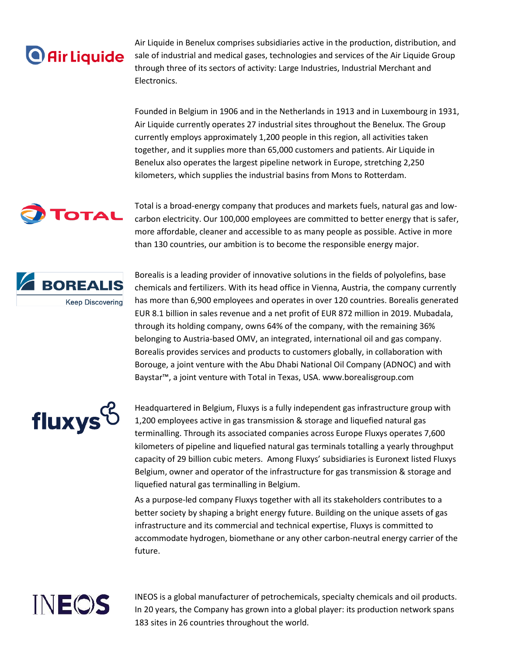## **O** Air Liquide

Air Liquide in Benelux comprises subsidiaries active in the production, distribution, and sale of industrial and medical gases, technologies and services of the Air Liquide Group through three of its sectors of activity: Large Industries, Industrial Merchant and Electronics.

Founded in Belgium in 1906 and in the Netherlands in 1913 and in Luxembourg in 1931, Air Liquide currently operates 27 industrial sites throughout the Benelux. The Group currently employs approximately 1,200 people in this region, all activities taken together, and it supplies more than 65,000 customers and patients. Air Liquide in Benelux also operates the largest pipeline network in Europe, stretching 2,250 kilometers, which supplies the industrial basins from Mons to Rotterdam.



Total is a broad-energy company that produces and markets fuels, natural gas and lowcarbon electricity. Our 100,000 employees are committed to better energy that is safer, more affordable, cleaner and accessible to as many people as possible. Active in more than 130 countries, our ambition is to become the responsible energy major.



Borealis is a leading provider of innovative solutions in the fields of polyolefins, base chemicals and fertilizers. With its head office in Vienna, Austria, the company currently has more than 6,900 employees and operates in over 120 countries. Borealis generated EUR 8.1 billion in sales revenue and a net profit of EUR 872 million in 2019. Mubadala, through its holding company, owns 64% of the company, with the remaining 36% belonging to Austria-based OMV, an integrated, international oil and gas company. Borealis provides services and products to customers globally, in collaboration with Borouge, a joint venture with the Abu Dhabi National Oil Company (ADNOC) and with Baystar™, a joint venture with Total in Texas, USA. www.borealisgroup.com



Headquartered in Belgium, Fluxys is a fully independent gas infrastructure group with 1,200 employees active in gas transmission & storage and liquefied natural gas terminalling. Through its associated companies across Europe Fluxys operates 7,600 kilometers of pipeline and liquefied natural gas terminals totalling a yearly throughput capacity of 29 billion cubic meters. Among Fluxys' subsidiaries is Euronext listed Fluxys Belgium, owner and operator of the infrastructure for gas transmission & storage and liquefied natural gas terminalling in Belgium.

As a purpose-led company Fluxys together with all its stakeholders contributes to a better society by shaping a bright energy future. Building on the unique assets of gas infrastructure and its commercial and technical expertise, Fluxys is committed to accommodate hydrogen, biomethane or any other carbon-neutral energy carrier of the future.



INEOS is a global manufacturer of petrochemicals, specialty chemicals and oil products. In 20 years, the Company has grown into a global player: its production network spans 183 sites in 26 countries throughout the world.